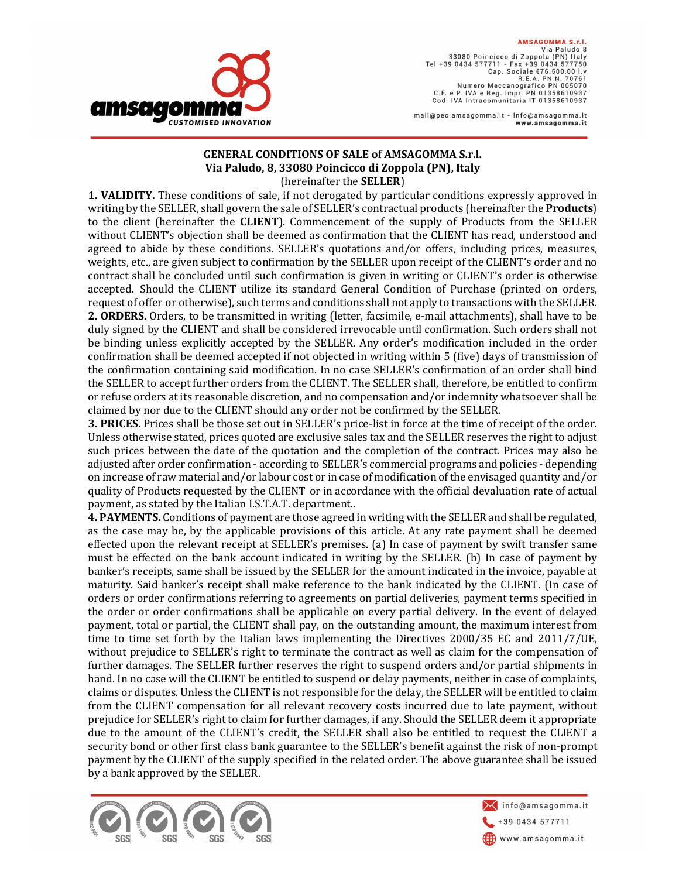

AMSAGOMMA S.r.I. Via Paludo 8 33080 Poincicco di Zoppola (PN) Italy SSUGO POMETECO DI ZOPPOIA (PN) TRI<br>Tel +39 0434 577711 - Fax +39 0434 577750<br>Cap. Sociale €76.500,00 i.v Pap: 0001412 Crossocy.com<br>R.E.A. PN N. 70761<br>Numero Meccanografico PN 005070 C.F. e P. IVA e Reg. Impr. PN 01358610937 Cod. IVA Intracomunitaria IT 01358610937

mail@pec.amsagomma.it - info@amsagomma.it www.amsagomma.it

## **GENERAL CONDITIONS OF SALE of AMSAGOMMA S.r.l. Via Paludo, 8, 33080 Poincicco di Zoppola (PN), Italy**  (hereinafter the **SELLER**)

**1. VALIDITY.** These conditions of sale, if not derogated by particular conditions expressly approved in writing by the SELLER, shall govern the sale of SELLER's contractual products (hereinafter the **Products**) to the client (hereinafter the **CLIENT**). Commencement of the supply of Products from the SELLER without CLIENT's objection shall be deemed as confirmation that the CLIENT has read, understood and agreed to abide by these conditions. SELLER's quotations and/or offers, including prices, measures, weights, etc., are given subject to confirmation by the SELLER upon receipt of the CLIENT's order and no contract shall be concluded until such confirmation is given in writing or CLIENT's order is otherwise accepted. Should the CLIENT utilize its standard General Condition of Purchase (printed on orders, request of offer or otherwise), such terms and conditions shall not apply to transactions with the SELLER. **2**. **ORDERS.** Orders, to be transmitted in writing (letter, facsimile, e-mail attachments), shall have to be duly signed by the CLIENT and shall be considered irrevocable until confirmation. Such orders shall not be binding unless explicitly accepted by the SELLER. Any order's modification included in the order confirmation shall be deemed accepted if not objected in writing within 5 (five) days of transmission of the confirmation containing said modification. In no case SELLER's confirmation of an order shall bind the SELLER to accept further orders from the CLIENT. The SELLER shall, therefore, be entitled to confirm or refuse orders at its reasonable discretion, and no compensation and/or indemnity whatsoever shall be claimed by nor due to the CLIENT should any order not be confirmed by the SELLER.

**3. PRICES.** Prices shall be those set out in SELLER's price-list in force at the time of receipt of the order. Unless otherwise stated, prices quoted are exclusive sales tax and the SELLER reserves the right to adjust such prices between the date of the quotation and the completion of the contract. Prices may also be adjusted after order confirmation - according to SELLER's commercial programs and policies - depending on increase of raw material and/or labour cost or in case of modification of the envisaged quantity and/or quality of Products requested by the CLIENT or in accordance with the official devaluation rate of actual payment, as stated by the Italian I.S.T.A.T. department..

**4. PAYMENTS.** Conditions of payment are those agreed in writing with the SELLER and shall be regulated, as the case may be, by the applicable provisions of this article. At any rate payment shall be deemed effected upon the relevant receipt at SELLER's premises. (a) In case of payment by swift transfer same must be effected on the bank account indicated in writing by the SELLER. (b) In case of payment by banker's receipts, same shall be issued by the SELLER for the amount indicated in the invoice, payable at maturity. Said banker's receipt shall make reference to the bank indicated by the CLIENT. (In case of orders or order confirmations referring to agreements on partial deliveries, payment terms specified in the order or order confirmations shall be applicable on every partial delivery. In the event of delayed payment, total or partial, the CLIENT shall pay, on the outstanding amount, the maximum interest from time to time set forth by the Italian laws implementing the Directives 2000/35 EC and 2011/7/UE, without prejudice to SELLER's right to terminate the contract as well as claim for the compensation of further damages. The SELLER further reserves the right to suspend orders and/or partial shipments in hand. In no case will the CLIENT be entitled to suspend or delay payments, neither in case of complaints, claims or disputes. Unless the CLIENT is not responsible for the delay, the SELLER will be entitled to claim from the CLIENT compensation for all relevant recovery costs incurred due to late payment, without prejudice for SELLER's right to claim for further damages, if any. Should the SELLER deem it appropriate due to the amount of the CLIENT's credit, the SELLER shall also be entitled to request the CLIENT a security bond or other first class bank guarantee to the SELLER's benefit against the risk of non-prompt payment by the CLIENT of the supply specified in the related order. The above guarantee shall be issued by a bank approved by the SELLER.



info@amsagomma.it +39 0434 577711 www.amsagomma.it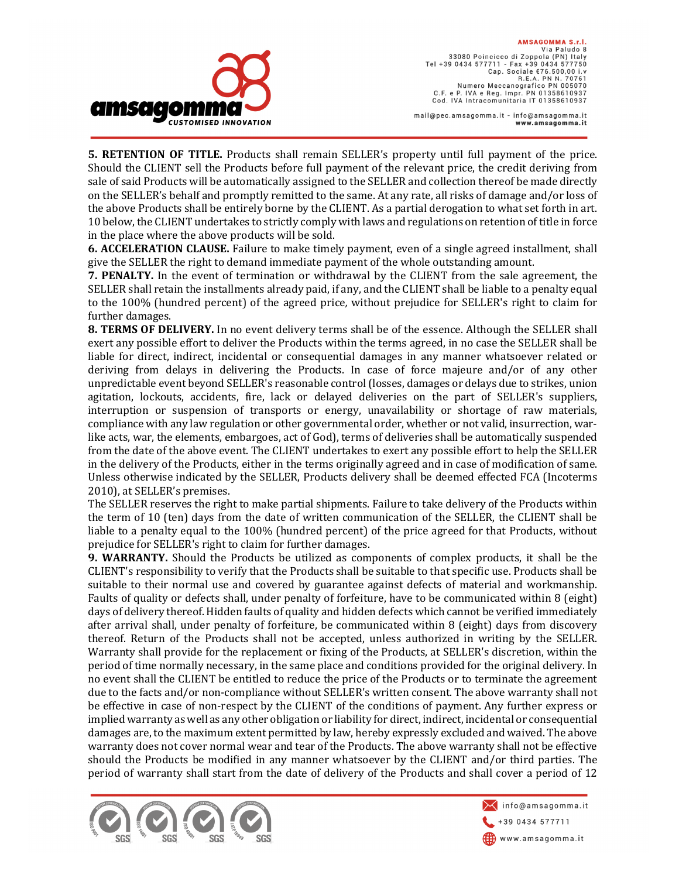

AMSAGOMMA S.r.I. Via Paludo 8 33080 Poincicco di Zoppola (PN) Italy SSUGO POMETECO DI ZOPPOIA (PN) TRI<br>Tel +39 0434 577711 - Fax +39 0434 577750<br>Cap. Sociale €76.500,00 i.v Pap: 0001412 Crossocy.com<br>R.E.A. PN N. 70761<br>Numero Meccanografico PN 005070 C.F. e P. IVA e Reg. Impr. PN 01358610937 Cod. IVA Intracomunitaria IT 01358610937

mail@pec.amsagomma.it - info@amsagomma.it www.amsagomma.it

**5. RETENTION OF TITLE.** Products shall remain SELLER's property until full payment of the price. Should the CLIENT sell the Products before full payment of the relevant price, the credit deriving from sale of said Products will be automatically assigned to the SELLER and collection thereof be made directly on the SELLER's behalf and promptly remitted to the same. At any rate, all risks of damage and/or loss of the above Products shall be entirely borne by the CLIENT. As a partial derogation to what set forth in art. 10 below, the CLIENT undertakes to strictly comply with laws and regulations on retention of title in force in the place where the above products will be sold.

**6. ACCELERATION CLAUSE.** Failure to make timely payment, even of a single agreed installment, shall give the SELLER the right to demand immediate payment of the whole outstanding amount.

**7. PENALTY.** In the event of termination or withdrawal by the CLIENT from the sale agreement, the SELLER shall retain the installments already paid, if any, and the CLIENT shall be liable to a penalty equal to the 100% (hundred percent) of the agreed price*,* without prejudice for SELLER's right to claim for further damages.

**8. TERMS OF DELIVERY.** In no event delivery terms shall be of the essence. Although the SELLER shall exert any possible effort to deliver the Products within the terms agreed, in no case the SELLER shall be liable for direct, indirect, incidental or consequential damages in any manner whatsoever related or deriving from delays in delivering the Products. In case of force majeure and/or of any other unpredictable event beyond SELLER's reasonable control (losses, damages or delays due to strikes, union agitation, lockouts, accidents, fire, lack or delayed deliveries on the part of SELLER's suppliers, interruption or suspension of transports or energy, unavailability or shortage of raw materials, compliance with any law regulation or other governmental order, whether or not valid, insurrection, warlike acts, war, the elements, embargoes, act of God), terms of deliveries shall be automatically suspended from the date of the above event. The CLIENT undertakes to exert any possible effort to help the SELLER in the delivery of the Products, either in the terms originally agreed and in case of modification of same. Unless otherwise indicated by the SELLER, Products delivery shall be deemed effected FCA (Incoterms 2010), at SELLER's premises.

The SELLER reserves the right to make partial shipments. Failure to take delivery of the Products within the term of 10 (ten) days from the date of written communication of the SELLER, the CLIENT shall be liable to a penalty equal to the 100% (hundred percent) of the price agreed for that Products, without prejudice for SELLER's right to claim for further damages.

**9. WARRANTY.** Should the Products be utilized as components of complex products, it shall be the CLIENT's responsibility to verify that the Products shall be suitable to that specific use. Products shall be suitable to their normal use and covered by guarantee against defects of material and workmanship. Faults of quality or defects shall, under penalty of forfeiture, have to be communicated within 8 (eight) days of delivery thereof. Hidden faults of quality and hidden defects which cannot be verified immediately after arrival shall, under penalty of forfeiture, be communicated within 8 (eight) days from discovery thereof. Return of the Products shall not be accepted, unless authorized in writing by the SELLER. Warranty shall provide for the replacement or fixing of the Products, at SELLER's discretion, within the period of time normally necessary, in the same place and conditions provided for the original delivery. In no event shall the CLIENT be entitled to reduce the price of the Products or to terminate the agreement due to the facts and/or non-compliance without SELLER's written consent. The above warranty shall not be effective in case of non-respect by the CLIENT of the conditions of payment. Any further express or implied warranty as well as any other obligation or liability for direct, indirect, incidental or consequential damages are, to the maximum extent permitted by law, hereby expressly excluded and waived. The above warranty does not cover normal wear and tear of the Products. The above warranty shall not be effective should the Products be modified in any manner whatsoever by the CLIENT and/or third parties. The period of warranty shall start from the date of delivery of the Products and shall cover a period of 12



 $\setminus$  info@amsagomma.it +39 0434 577711 www.amsagomma.it